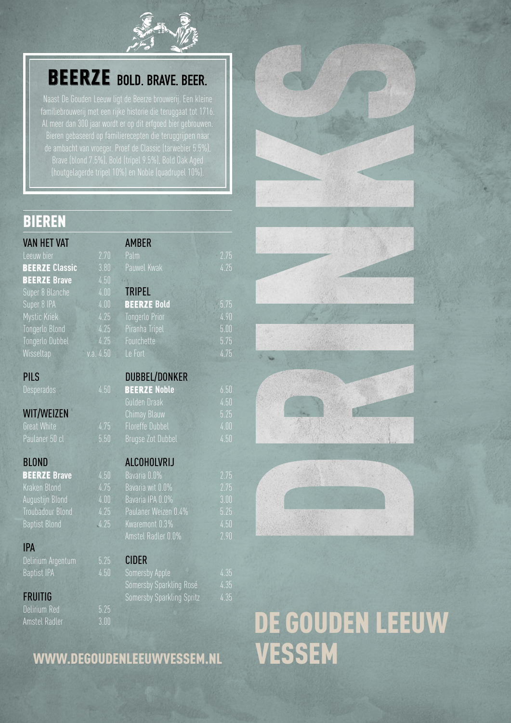

# **BEERZE** BOLD. BRAVE. BEER.

(houtgelagerde tripel 10%) en Noble (quadrupel 10%).

### BIEREN

| <b>VAN HET VAT</b>    |           | <b>AMBER</b>          |         |
|-----------------------|-----------|-----------------------|---------|
| Leeuw bier            | 2.70      | Palm                  | $-2.75$ |
| <b>BEERZE Classic</b> | 3.80      | Pauwel Kwak           | 4.25    |
| <b>BEERZE Brave</b>   | 4.50      |                       |         |
| Super 8 Blanche       | 4.00      | <b>TRIPEL</b>         |         |
| Super 8 IPA           | 4.00      | <b>BEERZE Bold</b>    | 5.75    |
| Mystic Kriek          | 4.25      | <b>Tongerlo Prior</b> | 4.90    |
| Tongerlo Blond        | 4.25      | Piranha Tripel        | 5.00    |
| Tongerlo Dubbel       | 4.25      | Fourchette            | 5.75    |
| Wisseltap             | v.a. 4.50 | Le Fort               | 4.75    |
|                       |           |                       |         |

### PILS

### WIT/WEIZEN

Great White 4.75 Paulaner 50 cl 5.50

### BLOND

| <b>BEERZE Brave</b>  | 4.50  |
|----------------------|-------|
| Kraken Blond         | 4.75  |
| Augustijn Blond      | 4.00  |
| Troubadour Blond     | 4.75  |
| <b>Baptist Blond</b> | -4.25 |

### IPA

Delirium Argentum 5.25 Baptist IPA 4.50

### FRUITIG

Delirium Red 5.25 Amstel Radler 3.00

| <b>BEERZE Bold</b>       |
|--------------------------|
| <b>Tongerlo Prior</b>    |
| Piranha Tripel           |
| Fourchette               |
| Le Fort                  |
|                          |
| <b>DUBBEL/DONKER</b>     |
| <b>BEERZE Noble</b>      |
| Gulden Draak             |
| Chimay Blauw             |
| <b>Floreffe Dubbel</b>   |
| <b>Brugse Zot Dubbel</b> |
|                          |
| ALCOHOLVRIJ              |
|                          |

| Bavaria 0.0%         | 2.75 |
|----------------------|------|
| Bavaria wit 0.0%     | 2.75 |
| Bavaria IPA 0.0%     | 3.00 |
| Paulaner Weizen 0.4% | 5.25 |
| Kwaremont 0.3%       | 4.50 |
| Amstel Radler 0.0%   | 2.90 |

### CIDER

| Somersby Apple |                                  | 4.35 |
|----------------|----------------------------------|------|
|                | Somersby Sparkling Rosé          | 4.35 |
|                | <b>Somersby Sparkling Spritz</b> | 4.35 |
|                |                                  |      |

### WWW.DEGOUDENLEEUWVESSEM.NL











# DE GOUDEN LEEUW<br>VESSEM